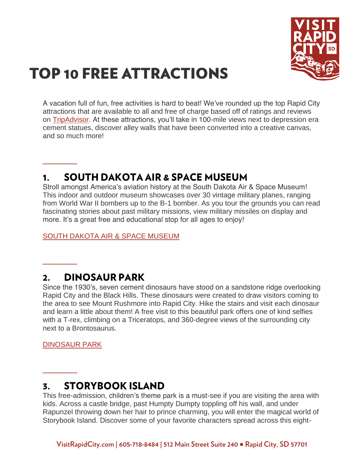

# **TOP 10 FREE ATTRACTIONS**

A vacation full of fun, free activities is hard to beat! We've rounded up the top Rapid City attractions that are available to all and free of charge based off of ratings and reviews on [TripAdvisor.](https://www.tripadvisor.com/) At these attractions, you'll take in 100-mile views next to depression era cement statues, discover alley walls that have been converted into a creative canvas, and so much more!

#### **SOUTH DAKOTA AIR & SPACE MUSEUM** 1.

Stroll amongst America's aviation history at the South Dakota Air & Space Museum! This indoor and outdoor museum showcases over 30 vintage military planes, ranging from World War II bombers up to the B-1 bomber. As you tour the grounds you can read fascinating stories about past military missions, view military missiles on display and more. It's a great free and educational stop for all ages to enjoy!

[SOUTH DAKOTA AIR & SPACE MUSEUM](https://www.visitrapidcity.com/things-to-do/arts-culture/south-dakota-air-space-museum)

#### **DINOSAUR PARK**  $2.$

Since the 1930's, seven cement dinosaurs have stood on a sandstone ridge overlooking Rapid City and the Black Hills. These dinosaurs were created to draw visitors coming to the area to see Mount Rushmore into Rapid City. Hike the stairs and visit each dinosaur and learn a little about them! A free visit to this beautiful park offers one of kind selfies with a T-rex, climbing on a Triceratops, and 360-degree views of the surrounding city next to a Brontosaurus.

[DINOSAUR PARK](https://www.visitrapidcity.com/things-to-do/attractions/dinosaur-park-gift-shop-visitors-center)

**\_\_\_\_**

**\_\_\_\_**

**\_\_\_\_**

#### **STORYBOOK ISLAND** 3.

This free-admission, children's theme park is a must-see if you are visiting the area with kids. Across a castle bridge, past Humpty Dumpty toppling off his wall, and under Rapunzel throwing down her hair to prince charming, you will enter the magical world of Storybook Island. Discover some of your favorite characters spread across this eight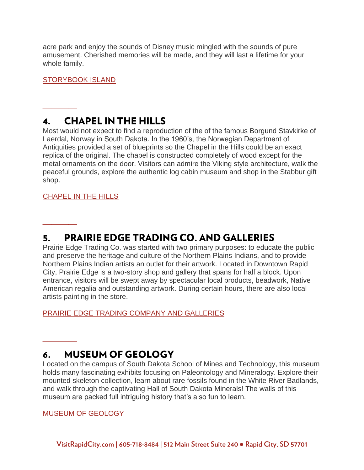acre park and enjoy the sounds of Disney music mingled with the sounds of pure amusement. Cherished memories will be made, and they will last a lifetime for your whole family.

[STORYBOOK ISLAND](https://www.visitrapidcity.com/things-to-do/attractions/storybook-island)

**\_\_\_\_**

**\_\_\_\_**

**\_\_\_\_**

#### **CHAPEL IN THE HILLS**  $\mathbf{4}$

Most would not expect to find a reproduction of the of the famous Borgund Stavkirke of Laerdal, Norway in South Dakota. In the 1960's, the Norwegian Department of Antiquities provided a set of blueprints so the Chapel in the Hills could be an exact replica of the original. The chapel is constructed completely of wood except for the metal ornaments on the door. Visitors can admire the Viking style architecture, walk the peaceful grounds, explore the authentic log cabin museum and shop in the Stabbur gift shop.

## [CHAPEL IN THE HILLS](https://www.visitrapidcity.com/things-to-do/arts-culture/chapel-hills)

#### **PRAIRIE EDGE TRADING CO. AND GALLERIES** 5.

Prairie Edge Trading Co. was started with two primary purposes: to educate the public and preserve the heritage and culture of the Northern Plains Indians, and to provide Northern Plains Indian artists an outlet for their artwork. Located in Downtown Rapid City, Prairie Edge is a two-story shop and gallery that spans for half a block. Upon entrance, visitors will be swept away by spectacular local products, beadwork, Native American regalia and outstanding artwork. During certain hours, there are also local artists painting in the store.

[PRAIRIE EDGE TRADING COMPANY AND GALLERIES](https://www.visitrapidcity.com/things-to-do/arts-culture/prairie-edge-trading-company-and-galleries)

#### **MUSEUM OF GEOLOGY** 6.

Located on the campus of South Dakota School of Mines and Technology, this museum holds many fascinating exhibits focusing on Paleontology and Mineralogy. Explore their mounted skeleton collection, learn about rare fossils found in the White River Badlands, and walk through the captivating Hall of South Dakota Minerals! The walls of this museum are packed full intriguing history that's also fun to learn.

### [MUSEUM OF GEOLOGY](https://www.visitrapidcity.com/things-to-do/arts-culture/museum-geology)

VisitRapidCity.com | 605-718-8484 | 512 Main Street Suite 240 · Rapid City, SD 57701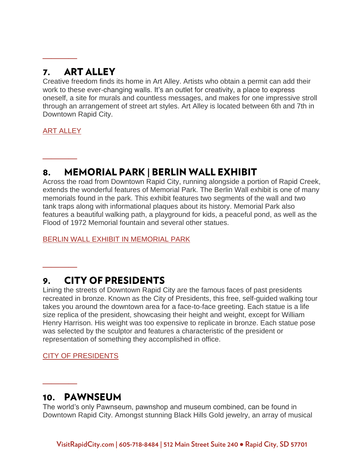#### **ART ALLEY** 7.

Creative freedom finds its home in Art Alley. Artists who obtain a permit can add their work to these ever-changing walls. It's an outlet for creativity, a place to express oneself, a site for murals and countless messages, and makes for one impressive stroll through an arrangement of street art styles. Art Alley is located between 6th and 7th in Downtown Rapid City.

[ART ALLEY](https://www.visitrapidcity.com/things-to-do/arts-culture/art-alley)

**\_\_\_\_**

**\_\_\_\_**

**\_\_\_\_**

**\_\_\_\_**

#### **MEMORIAL PARK | BERLIN WALL EXHIBIT** 8.

Across the road from Downtown Rapid City, running alongside a portion of Rapid Creek, extends the wonderful features of Memorial Park. The Berlin Wall exhibit is one of many memorials found in the park. This exhibit features two segments of the wall and two tank traps along with informational plaques about its history. Memorial Park also features a beautiful walking path, a playground for kids, a peaceful pond, as well as the Flood of 1972 Memorial fountain and several other statues.

[BERLIN WALL EXHIBIT IN MEMORIAL PARK](https://www.visitrapidcity.com/things-to-do/attractions/memorial-park-berlin-wall-exhibit)

#### **CITY OF PRESIDENTS**  $9.$

Lining the streets of Downtown Rapid City are the famous faces of past presidents recreated in bronze. Known as the City of Presidents, this free, self-guided walking tour takes you around the downtown area for a face-to-face greeting. Each statue is a life size replica of the president, showcasing their height and weight, except for William Henry Harrison. His weight was too expensive to replicate in bronze. Each statue pose was selected by the sculptor and features a characteristic of the president or representation of something they accomplished in office.

[CITY OF PRESIDENTS](https://www.visitrapidcity.com/things-to-do/all-things/attractions/city-presidents)

## 10. PAWNSEUM

The world's only Pawnseum, pawnshop and museum combined, can be found in Downtown Rapid City. Amongst stunning Black Hills Gold jewelry, an array of musical